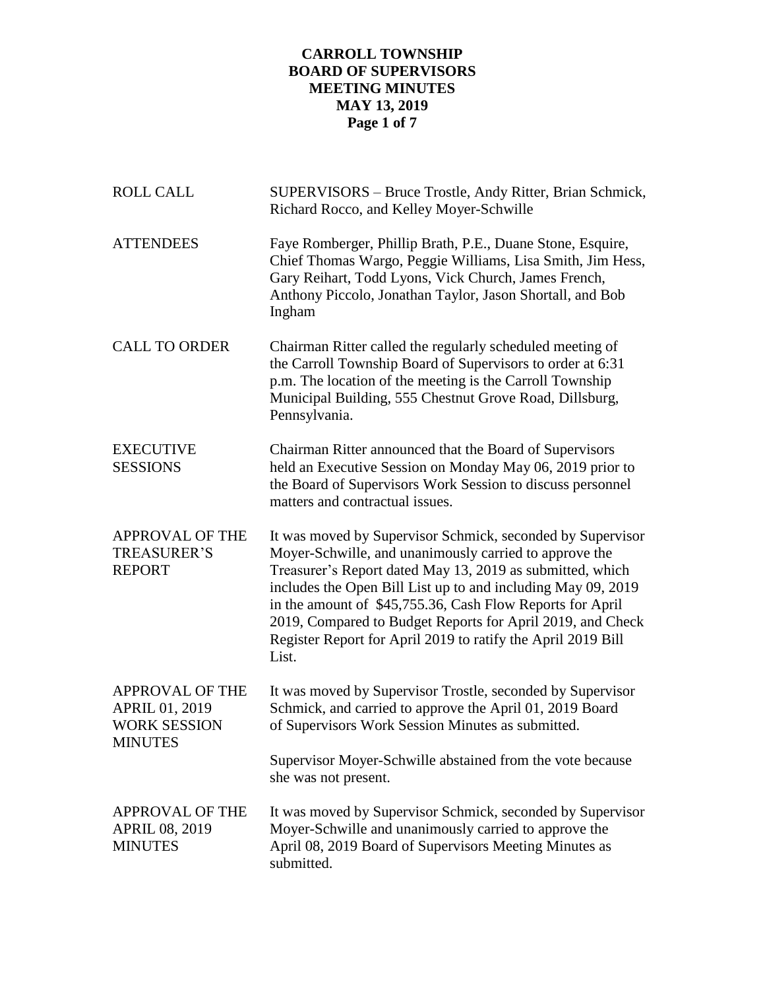# **CARROLL TOWNSHIP BOARD OF SUPERVISORS MEETING MINUTES MAY 13, 2019 Page 1 of 7**

| <b>ROLL CALL</b>                                                                  | SUPERVISORS – Bruce Trostle, Andy Ritter, Brian Schmick,<br>Richard Rocco, and Kelley Moyer-Schwille                                                                                                                                                                                                                                                                                                                                                  |
|-----------------------------------------------------------------------------------|-------------------------------------------------------------------------------------------------------------------------------------------------------------------------------------------------------------------------------------------------------------------------------------------------------------------------------------------------------------------------------------------------------------------------------------------------------|
| <b>ATTENDEES</b>                                                                  | Faye Romberger, Phillip Brath, P.E., Duane Stone, Esquire,<br>Chief Thomas Wargo, Peggie Williams, Lisa Smith, Jim Hess,<br>Gary Reihart, Todd Lyons, Vick Church, James French,<br>Anthony Piccolo, Jonathan Taylor, Jason Shortall, and Bob<br>Ingham                                                                                                                                                                                               |
| <b>CALL TO ORDER</b>                                                              | Chairman Ritter called the regularly scheduled meeting of<br>the Carroll Township Board of Supervisors to order at 6:31<br>p.m. The location of the meeting is the Carroll Township<br>Municipal Building, 555 Chestnut Grove Road, Dillsburg,<br>Pennsylvania.                                                                                                                                                                                       |
| <b>EXECUTIVE</b><br><b>SESSIONS</b>                                               | Chairman Ritter announced that the Board of Supervisors<br>held an Executive Session on Monday May 06, 2019 prior to<br>the Board of Supervisors Work Session to discuss personnel<br>matters and contractual issues.                                                                                                                                                                                                                                 |
| <b>APPROVAL OF THE</b><br><b>TREASURER'S</b><br><b>REPORT</b>                     | It was moved by Supervisor Schmick, seconded by Supervisor<br>Moyer-Schwille, and unanimously carried to approve the<br>Treasurer's Report dated May 13, 2019 as submitted, which<br>includes the Open Bill List up to and including May 09, 2019<br>in the amount of \$45,755.36, Cash Flow Reports for April<br>2019, Compared to Budget Reports for April 2019, and Check<br>Register Report for April 2019 to ratify the April 2019 Bill<br>List. |
| <b>APPROVAL OF THE</b><br>APRIL 01, 2019<br><b>WORK SESSION</b><br><b>MINUTES</b> | It was moved by Supervisor Trostle, seconded by Supervisor<br>Schmick, and carried to approve the April 01, 2019 Board<br>of Supervisors Work Session Minutes as submitted.                                                                                                                                                                                                                                                                           |
|                                                                                   | Supervisor Moyer-Schwille abstained from the vote because<br>she was not present.                                                                                                                                                                                                                                                                                                                                                                     |
| <b>APPROVAL OF THE</b><br><b>APRIL 08, 2019</b><br><b>MINUTES</b>                 | It was moved by Supervisor Schmick, seconded by Supervisor<br>Moyer-Schwille and unanimously carried to approve the<br>April 08, 2019 Board of Supervisors Meeting Minutes as<br>submitted.                                                                                                                                                                                                                                                           |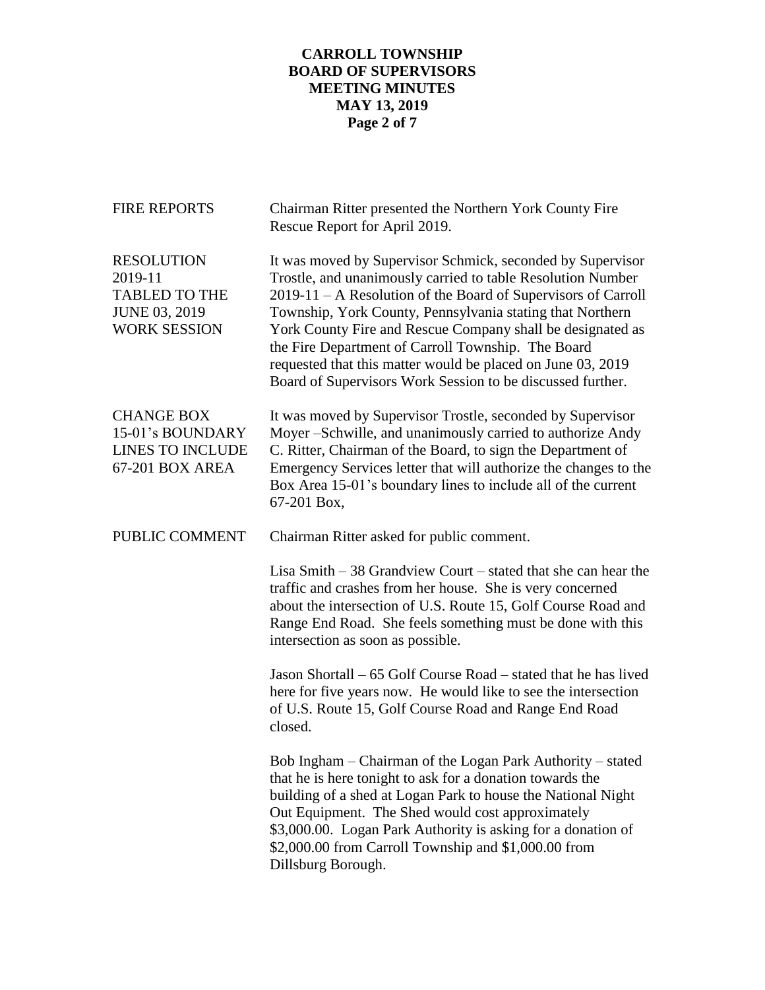# **CARROLL TOWNSHIP BOARD OF SUPERVISORS MEETING MINUTES MAY 13, 2019 Page 2 of 7**

| <b>FIRE REPORTS</b>                                                                                 | Chairman Ritter presented the Northern York County Fire<br>Rescue Report for April 2019.                                                                                                                                                                                                                                                                                                                                                                                                                 |
|-----------------------------------------------------------------------------------------------------|----------------------------------------------------------------------------------------------------------------------------------------------------------------------------------------------------------------------------------------------------------------------------------------------------------------------------------------------------------------------------------------------------------------------------------------------------------------------------------------------------------|
| <b>RESOLUTION</b><br>2019-11<br><b>TABLED TO THE</b><br><b>JUNE 03, 2019</b><br><b>WORK SESSION</b> | It was moved by Supervisor Schmick, seconded by Supervisor<br>Trostle, and unanimously carried to table Resolution Number<br>2019-11 – A Resolution of the Board of Supervisors of Carroll<br>Township, York County, Pennsylvania stating that Northern<br>York County Fire and Rescue Company shall be designated as<br>the Fire Department of Carroll Township. The Board<br>requested that this matter would be placed on June 03, 2019<br>Board of Supervisors Work Session to be discussed further. |
| <b>CHANGE BOX</b><br>15-01's BOUNDARY<br><b>LINES TO INCLUDE</b><br>67-201 BOX AREA                 | It was moved by Supervisor Trostle, seconded by Supervisor<br>Moyer -Schwille, and unanimously carried to authorize Andy<br>C. Ritter, Chairman of the Board, to sign the Department of<br>Emergency Services letter that will authorize the changes to the<br>Box Area 15-01's boundary lines to include all of the current<br>67-201 Box,                                                                                                                                                              |
| PUBLIC COMMENT                                                                                      | Chairman Ritter asked for public comment.                                                                                                                                                                                                                                                                                                                                                                                                                                                                |
|                                                                                                     | Lisa Smith $-38$ Grandview Court $-$ stated that she can hear the<br>traffic and crashes from her house. She is very concerned<br>about the intersection of U.S. Route 15, Golf Course Road and<br>Range End Road. She feels something must be done with this<br>intersection as soon as possible.                                                                                                                                                                                                       |
|                                                                                                     | Jason Shortall – 65 Golf Course Road – stated that he has lived<br>here for five years now. He would like to see the intersection<br>of U.S. Route 15, Golf Course Road and Range End Road<br>closed.                                                                                                                                                                                                                                                                                                    |
|                                                                                                     | Bob Ingham – Chairman of the Logan Park Authority – stated<br>that he is here tonight to ask for a donation towards the<br>building of a shed at Logan Park to house the National Night<br>Out Equipment. The Shed would cost approximately<br>\$3,000.00. Logan Park Authority is asking for a donation of<br>\$2,000.00 from Carroll Township and \$1,000.00 from<br>Dillsburg Borough.                                                                                                                |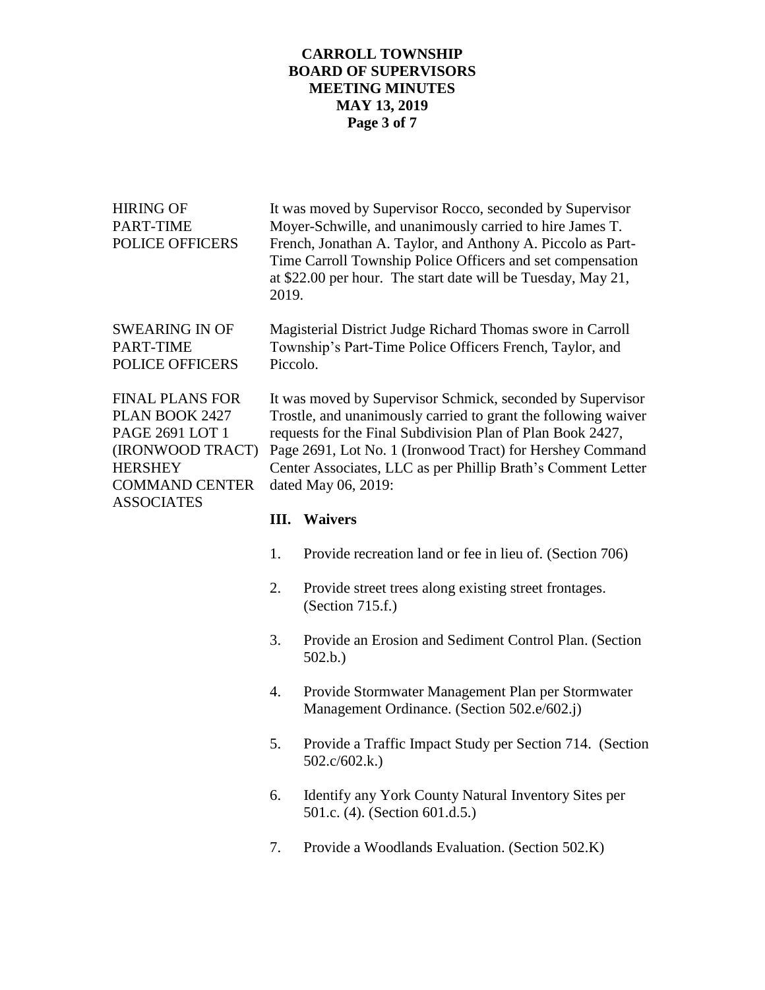### **CARROLL TOWNSHIP BOARD OF SUPERVISORS MEETING MINUTES MAY 13, 2019 Page 3 of 7**

| Ш<br>Woivors                                                                                                                        |
|-------------------------------------------------------------------------------------------------------------------------------------|
|                                                                                                                                     |
| dated May 06, 2019:                                                                                                                 |
| Center Associates, LLC as per Phillip Brath's Comment Letter                                                                        |
| Page 2691, Lot No. 1 (Ironwood Tract) for Hershey Command                                                                           |
| requests for the Final Subdivision Plan of Plan Book 2427,                                                                          |
| Trostle, and unanimously carried to grant the following waiver                                                                      |
| It was moved by Supervisor Schmick, seconded by Supervisor                                                                          |
| Piccolo.                                                                                                                            |
| Township's Part-Time Police Officers French, Taylor, and                                                                            |
| Magisterial District Judge Richard Thomas swore in Carroll                                                                          |
| Time Carroll Township Police Officers and set compensation<br>at \$22.00 per hour. The start date will be Tuesday, May 21,<br>2019. |
| French, Jonathan A. Taylor, and Anthony A. Piccolo as Part-                                                                         |
| Moyer-Schwille, and unanimously carried to hire James T.                                                                            |
| It was moved by Supervisor Rocco, seconded by Supervisor                                                                            |
|                                                                                                                                     |

#### **III. Waivers**

- 1. Provide recreation land or fee in lieu of. (Section 706)
- 2. Provide street trees along existing street frontages. (Section 715.f.)
- 3. Provide an Erosion and Sediment Control Plan. (Section 502.b.)
- 4. Provide Stormwater Management Plan per Stormwater Management Ordinance. (Section 502.e/602.j)
- 5. Provide a Traffic Impact Study per Section 714. (Section 502.c/602.k.)
- 6. Identify any York County Natural Inventory Sites per 501.c. (4). (Section 601.d.5.)
- 7. Provide a Woodlands Evaluation. (Section 502.K)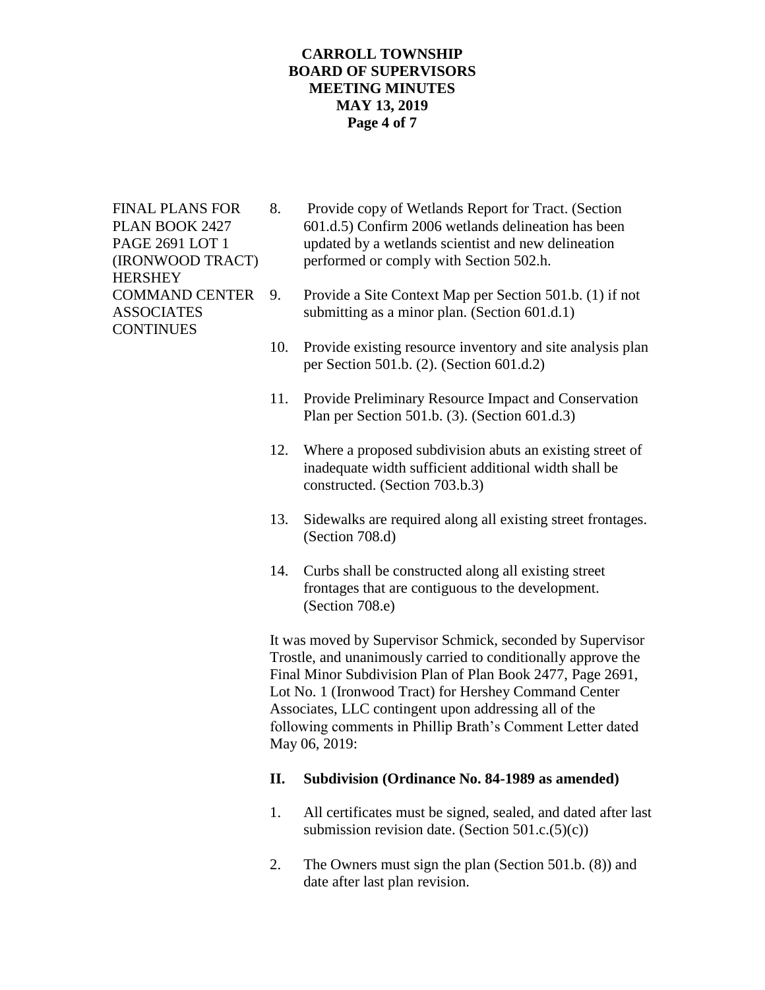### **CARROLL TOWNSHIP BOARD OF SUPERVISORS MEETING MINUTES MAY 13, 2019 Page 4 of 7**

**HERSHEY CONTINUES** 

- FINAL PLANS FOR 8. Provide copy of Wetlands Report for Tract. (Section PLAN BOOK 2427 601.d.5) Confirm 2006 wetlands delineation has been PAGE 2691 LOT 1 updated by a wetlands scientist and new delineation (IRONWOOD TRACT) performed or comply with Section 502.h.
- COMMAND CENTER 9. Provide a Site Context Map per Section 501.b. (1) if not ASSOCIATES submitting as a minor plan. (Section 601.d.1)
	- 10. Provide existing resource inventory and site analysis plan per Section 501.b. (2). (Section 601.d.2)
	- 11. Provide Preliminary Resource Impact and Conservation Plan per Section 501.b. (3). (Section 601.d.3)
	- 12. Where a proposed subdivision abuts an existing street of inadequate width sufficient additional width shall be constructed. (Section 703.b.3)
	- 13. Sidewalks are required along all existing street frontages. (Section 708.d)
	- 14. Curbs shall be constructed along all existing street frontages that are contiguous to the development. (Section 708.e)

It was moved by Supervisor Schmick, seconded by Supervisor Trostle, and unanimously carried to conditionally approve the Final Minor Subdivision Plan of Plan Book 2477, Page 2691, Lot No. 1 (Ironwood Tract) for Hershey Command Center Associates, LLC contingent upon addressing all of the following comments in Phillip Brath's Comment Letter dated May 06, 2019:

#### **II. Subdivision (Ordinance No. 84-1989 as amended)**

- 1. All certificates must be signed, sealed, and dated after last submission revision date. (Section  $501.c.(5)(c)$ )
- 2. The Owners must sign the plan (Section 501.b. (8)) and date after last plan revision.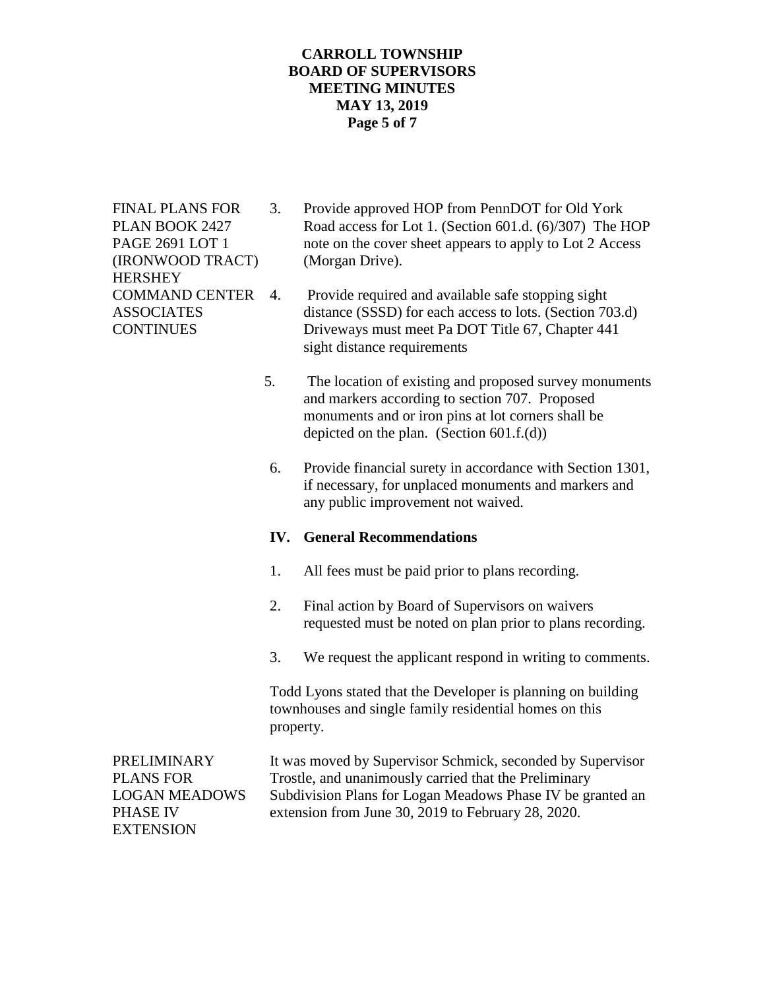### **CARROLL TOWNSHIP BOARD OF SUPERVISORS MEETING MINUTES MAY 13, 2019 Page 5 of 7**

(IRONWOOD TRACT) (Morgan Drive). **HERSHEY** 

- FINAL PLANS FOR 3. Provide approved HOP from PennDOT for Old York PLAN BOOK 2427 Road access for Lot 1. (Section 601.d. (6)/307) The HOP PAGE 2691 LOT 1 note on the cover sheet appears to apply to Lot 2 Access
- COMMAND CENTER 4. Provide required and available safe stopping sight ASSOCIATES distance (SSSD) for each access to lots. (Section 703.d) CONTINUES Driveways must meet Pa DOT Title 67, Chapter 441 sight distance requirements
	- 5. The location of existing and proposed survey monuments and markers according to section 707. Proposed monuments and or iron pins at lot corners shall be depicted on the plan. (Section  $601.f.(d)$ )
	- 6. Provide financial surety in accordance with Section 1301, if necessary, for unplaced monuments and markers and any public improvement not waived.

# **IV. General Recommendations**

- 1. All fees must be paid prior to plans recording.
- 2. Final action by Board of Supervisors on waivers requested must be noted on plan prior to plans recording.
- 3. We request the applicant respond in writing to comments.

Todd Lyons stated that the Developer is planning on building townhouses and single family residential homes on this property.

PRELIMINARY It was moved by Supervisor Schmick, seconded by Supervisor PLANS FOR Trostle, and unanimously carried that the Preliminary LOGAN MEADOWS Subdivision Plans for Logan Meadows Phase IV be granted an PHASE IV extension from June 30, 2019 to February 28, 2020. EXTENSION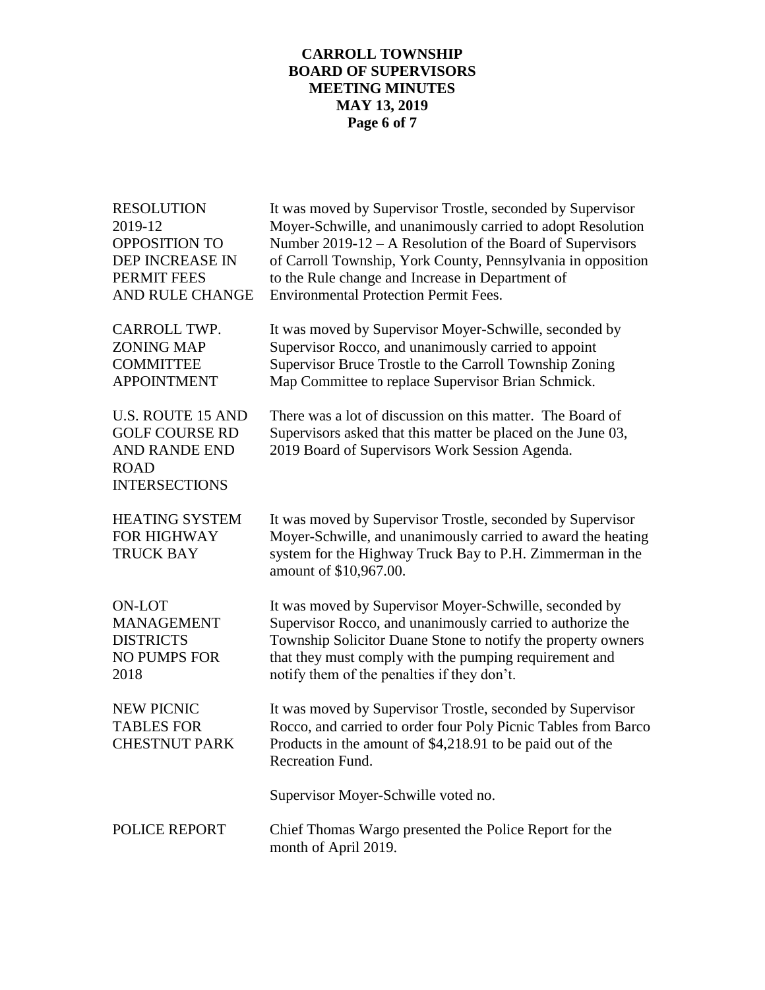# **CARROLL TOWNSHIP BOARD OF SUPERVISORS MEETING MINUTES MAY 13, 2019 Page 6 of 7**

| <b>RESOLUTION</b><br>2019-12<br><b>OPPOSITION TO</b><br>DEP INCREASE IN<br>PERMIT FEES<br>AND RULE CHANGE        | It was moved by Supervisor Trostle, seconded by Supervisor<br>Moyer-Schwille, and unanimously carried to adopt Resolution<br>Number $2019-12 - A$ Resolution of the Board of Supervisors<br>of Carroll Township, York County, Pennsylvania in opposition<br>to the Rule change and Increase in Department of<br><b>Environmental Protection Permit Fees.</b> |
|------------------------------------------------------------------------------------------------------------------|--------------------------------------------------------------------------------------------------------------------------------------------------------------------------------------------------------------------------------------------------------------------------------------------------------------------------------------------------------------|
| <b>CARROLL TWP.</b><br><b>ZONING MAP</b><br><b>COMMITTEE</b><br><b>APPOINTMENT</b>                               | It was moved by Supervisor Moyer-Schwille, seconded by<br>Supervisor Rocco, and unanimously carried to appoint<br>Supervisor Bruce Trostle to the Carroll Township Zoning<br>Map Committee to replace Supervisor Brian Schmick.                                                                                                                              |
| <b>U.S. ROUTE 15 AND</b><br><b>GOLF COURSE RD</b><br><b>AND RANDE END</b><br><b>ROAD</b><br><b>INTERSECTIONS</b> | There was a lot of discussion on this matter. The Board of<br>Supervisors asked that this matter be placed on the June 03,<br>2019 Board of Supervisors Work Session Agenda.                                                                                                                                                                                 |
| <b>HEATING SYSTEM</b><br><b>FOR HIGHWAY</b><br><b>TRUCK BAY</b>                                                  | It was moved by Supervisor Trostle, seconded by Supervisor<br>Moyer-Schwille, and unanimously carried to award the heating<br>system for the Highway Truck Bay to P.H. Zimmerman in the<br>amount of \$10,967.00.                                                                                                                                            |
| <b>ON-LOT</b><br><b>MANAGEMENT</b><br><b>DISTRICTS</b><br><b>NO PUMPS FOR</b><br>2018                            | It was moved by Supervisor Moyer-Schwille, seconded by<br>Supervisor Rocco, and unanimously carried to authorize the<br>Township Solicitor Duane Stone to notify the property owners<br>that they must comply with the pumping requirement and<br>notify them of the penalties if they don't.                                                                |
| <b>NEW PICNIC</b><br><b>TABLES FOR</b><br><b>CHESTNUT PARK</b>                                                   | It was moved by Supervisor Trostle, seconded by Supervisor<br>Rocco, and carried to order four Poly Picnic Tables from Barco<br>Products in the amount of \$4,218.91 to be paid out of the<br>Recreation Fund.                                                                                                                                               |
|                                                                                                                  | Supervisor Moyer-Schwille voted no.                                                                                                                                                                                                                                                                                                                          |
| POLICE REPORT                                                                                                    | Chief Thomas Wargo presented the Police Report for the<br>month of April 2019.                                                                                                                                                                                                                                                                               |